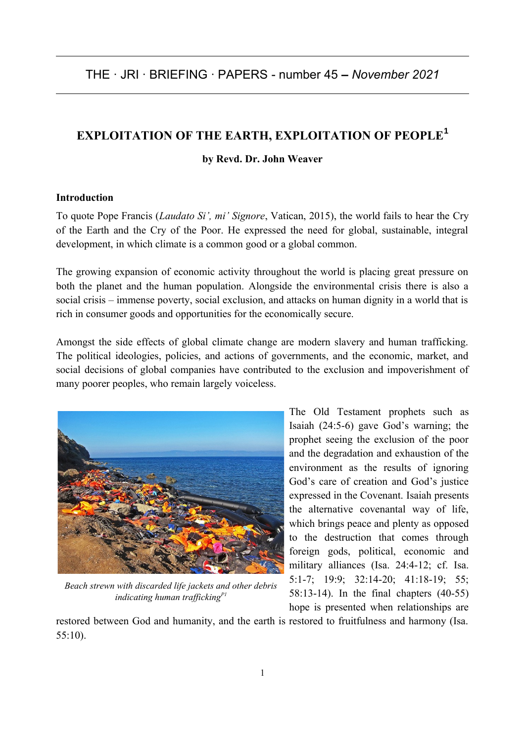# **EXPLOITATION OF THE EARTH, EXPLOITATION OF PEOPLE<sup>1</sup>**

#### **by Revd. Dr. John Weaver**

#### **Introduction**

To quote Pope Francis (*Laudato Si', mi' Signore*, Vatican, 2015), the world fails to hear the Cry of the Earth and the Cry of the Poor. He expressed the need for global, sustainable, integral development, in which climate is a common good or a global common.

The growing expansion of economic activity throughout the world is placing great pressure on both the planet and the human population. Alongside the environmental crisis there is also a social crisis – immense poverty, social exclusion, and attacks on human dignity in a world that is rich in consumer goods and opportunities for the economically secure.

Amongst the side effects of global climate change are modern slavery and human trafficking. The political ideologies, policies, and actions of governments, and the economic, market, and social decisions of global companies have contributed to the exclusion and impoverishment of many poorer peoples, who remain largely voiceless.



*Beach strewn with discarded life jackets and other debris indicating human traffickingP1*

The Old Testament prophets such as Isaiah (24:5-6) gave God's warning; the prophet seeing the exclusion of the poor and the degradation and exhaustion of the environment as the results of ignoring God's care of creation and God's justice expressed in the Covenant. Isaiah presents the alternative covenantal way of life, which brings peace and plenty as opposed to the destruction that comes through foreign gods, political, economic and military alliances (Isa. 24:4-12; cf. Isa. 5:1-7; 19:9; 32:14-20; 41:18-19; 55; 58:13-14). In the final chapters (40-55) hope is presented when relationships are

restored between God and humanity, and the earth is restored to fruitfulness and harmony (Isa. 55:10).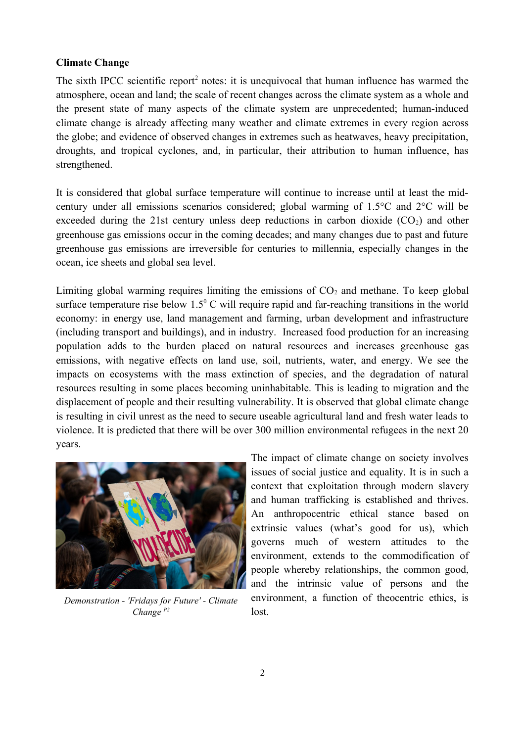#### **Climate Change**

The sixth IPCC scientific report<sup>2</sup> notes: it is unequivocal that human influence has warmed the atmosphere, ocean and land; the scale of recent changes across the climate system as a whole and the present state of many aspects of the climate system are unprecedented; human-induced climate change is already affecting many weather and climate extremes in every region across the globe; and evidence of observed changes in extremes such as heatwaves, heavy precipitation, droughts, and tropical cyclones, and, in particular, their attribution to human influence, has strengthened.

It is considered that global surface temperature will continue to increase until at least the midcentury under all emissions scenarios considered; global warming of 1.5°C and 2°C will be exceeded during the 21st century unless deep reductions in carbon dioxide  $(CO<sub>2</sub>)$  and other greenhouse gas emissions occur in the coming decades; and many changes due to past and future greenhouse gas emissions are irreversible for centuries to millennia, especially changes in the ocean, ice sheets and global sea level.

Limiting global warming requires limiting the emissions of  $CO<sub>2</sub>$  and methane. To keep global surface temperature rise below  $1.5^{\circ}$  C will require rapid and far-reaching transitions in the world economy: in energy use, land management and farming, urban development and infrastructure (including transport and buildings), and in industry. Increased food production for an increasing population adds to the burden placed on natural resources and increases greenhouse gas emissions, with negative effects on land use, soil, nutrients, water, and energy. We see the impacts on ecosystems with the mass extinction of species, and the degradation of natural resources resulting in some places becoming uninhabitable. This is leading to migration and the displacement of people and their resulting vulnerability. It is observed that global climate change is resulting in civil unrest as the need to secure useable agricultural land and fresh water leads to violence. It is predicted that there will be over 300 million environmental refugees in the next 20 years.



*Demonstration - 'Fridays for Future' - Climate Change P2*

The impact of climate change on society involves issues of social justice and equality. It is in such a context that exploitation through modern slavery and human trafficking is established and thrives. An anthropocentric ethical stance based on extrinsic values (what's good for us), which governs much of western attitudes to the environment, extends to the commodification of people whereby relationships, the common good, and the intrinsic value of persons and the environment, a function of theocentric ethics, is lost.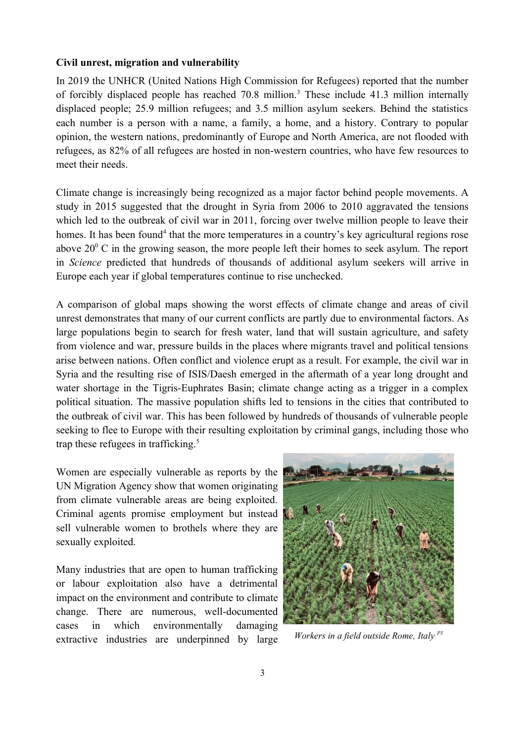#### **Civil unrest, migration and vulnerability**

In 2019 the UNHCR (United Nations High Commission for Refugees) reported that the number of forcibly displaced people has reached  $70.8$  million.<sup>3</sup> These include 41.3 million internally displaced people; 25.9 million refugees; and 3.5 million asylum seekers. Behind the statistics each number is a person with a name, a family, a home, and a history. Contrary to popular opinion, the western nations, predominantly of Europe and North America, are not flooded with refugees, as 82% of all refugees are hosted in non-western countries, who have few resources to meet their needs.

Climate change is increasingly being recognized as a major factor behind people movements. A study in 2015 suggested that the drought in Syria from 2006 to 2010 aggravated the tensions which led to the outbreak of civil war in 2011, forcing over twelve million people to leave their homes. It has been found<sup>4</sup> that the more temperatures in a country's key agricultural regions rose above  $20^{\circ}$  C in the growing season, the more people left their homes to seek asylum. The report in *Science* predicted that hundreds of thousands of additional asylum seekers will arrive in Europe each year if global temperatures continue to rise unchecked.

A comparison of global maps showing the worst effects of climate change and areas of civil unrest demonstrates that many of our current conflicts are partly due to environmental factors. As large populations begin to search for fresh water, land that will sustain agriculture, and safety from violence and war, pressure builds in the places where migrants travel and political tensions arise between nations. Often conflict and violence erupt as a result. For example, the civil war in Syria and the resulting rise of ISIS/Daesh emerged in the aftermath of a year long drought and water shortage in the Tigris-Euphrates Basin; climate change acting as a trigger in a complex political situation. The massive population shifts led to tensions in the cities that contributed to the outbreak of civil war. This has been followed by hundreds of thousands of vulnerable people seeking to flee to Europe with their resulting exploitation by criminal gangs, including those who trap these refugees in trafficking. $5$ 

Women are especially vulnerable as reports by the UN Migration Agency show that women originating from climate vulnerable areas are being exploited. Criminal agents promise employment but instead sell vulnerable women to brothels where they are sexually exploited.

Many industries that are open to human trafficking or labour exploitation also have a detrimental impact on the environment and contribute to climate change. There are numerous, well-documented cases in which environmentally damaging extractive industries are underpinned by large



*Workers in a field outside Rome, Italy P3*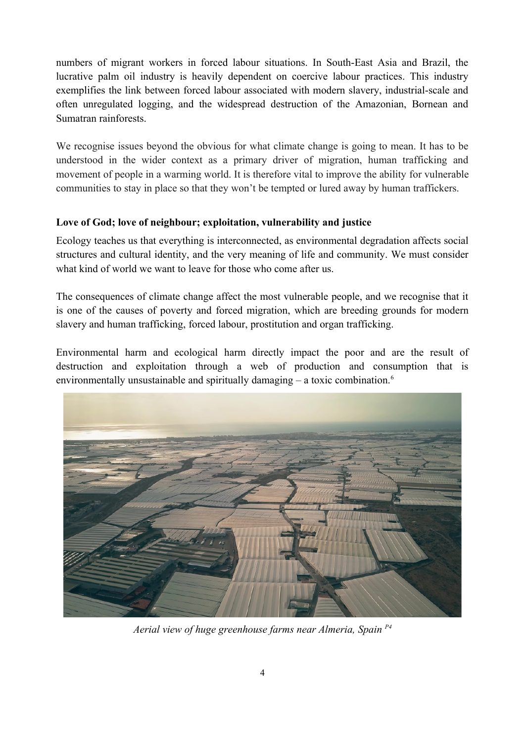numbers of migrant workers in forced labour situations. In South-East Asia and Brazil, the lucrative palm oil industry is heavily dependent on coercive labour practices. This industry exemplifies the link between forced labour associated with modern slavery, industrial-scale and often unregulated logging, and the widespread destruction of the Amazonian, Bornean and Sumatran rainforests.

We recognise issues beyond the obvious for what climate change is going to mean. It has to be understood in the wider context as a primary driver of migration, human trafficking and movement of people in a warming world. It is therefore vital to improve the ability for vulnerable communities to stay in place so that they won't be tempted or lured away by human traffickers.

# **Love of God; love of neighbour; exploitation, vulnerability and justice**

Ecology teaches us that everything is interconnected, as environmental degradation affects social structures and cultural identity, and the very meaning of life and community. We must consider what kind of world we want to leave for those who come after us.

The consequences of climate change affect the most vulnerable people, and we recognise that it is one of the causes of poverty and forced migration, which are breeding grounds for modern slavery and human trafficking, forced labour, prostitution and organ trafficking.

Environmental harm and ecological harm directly impact the poor and are the result of destruction and exploitation through a web of production and consumption that is environmentally unsustainable and spiritually damaging  $-$  a toxic combination.<sup>6</sup>



*Aerial view of huge greenhouse farms near Almeria, Spain P4*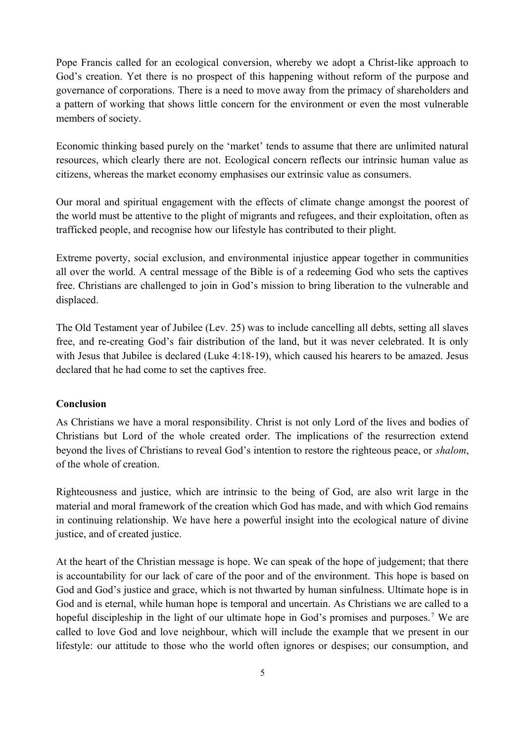Pope Francis called for an ecological conversion, whereby we adopt a Christ-like approach to God's creation. Yet there is no prospect of this happening without reform of the purpose and governance of corporations. There is a need to move away from the primacy of shareholders and a pattern of working that shows little concern for the environment or even the most vulnerable members of society.

Economic thinking based purely on the 'market' tends to assume that there are unlimited natural resources, which clearly there are not. Ecological concern reflects our intrinsic human value as citizens, whereas the market economy emphasises our extrinsic value as consumers.

Our moral and spiritual engagement with the effects of climate change amongst the poorest of the world must be attentive to the plight of migrants and refugees, and their exploitation, often as trafficked people, and recognise how our lifestyle has contributed to their plight.

Extreme poverty, social exclusion, and environmental injustice appear together in communities all over the world. A central message of the Bible is of a redeeming God who sets the captives free. Christians are challenged to join in God's mission to bring liberation to the vulnerable and displaced.

The Old Testament year of Jubilee (Lev. 25) was to include cancelling all debts, setting all slaves free, and re-creating God's fair distribution of the land, but it was never celebrated. It is only with Jesus that Jubilee is declared (Luke 4:18-19), which caused his hearers to be amazed. Jesus declared that he had come to set the captives free.

#### **Conclusion**

As Christians we have a moral responsibility. Christ is not only Lord of the lives and bodies of Christians but Lord of the whole created order. The implications of the resurrection extend beyond the lives of Christians to reveal God's intention to restore the righteous peace, or *shalom*, of the whole of creation.

Righteousness and justice, which are intrinsic to the being of God, are also writ large in the material and moral framework of the creation which God has made, and with which God remains in continuing relationship. We have here a powerful insight into the ecological nature of divine justice, and of created justice.

At the heart of the Christian message is hope. We can speak of the hope of judgement; that there is accountability for our lack of care of the poor and of the environment. This hope is based on God and God's justice and grace, which is not thwarted by human sinfulness. Ultimate hope is in God and is eternal, while human hope is temporal and uncertain. As Christians we are called to a hopeful discipleship in the light of our ultimate hope in God's promises and purposes.<sup>7</sup> We are called to love God and love neighbour, which will include the example that we present in our lifestyle: our attitude to those who the world often ignores or despises; our consumption, and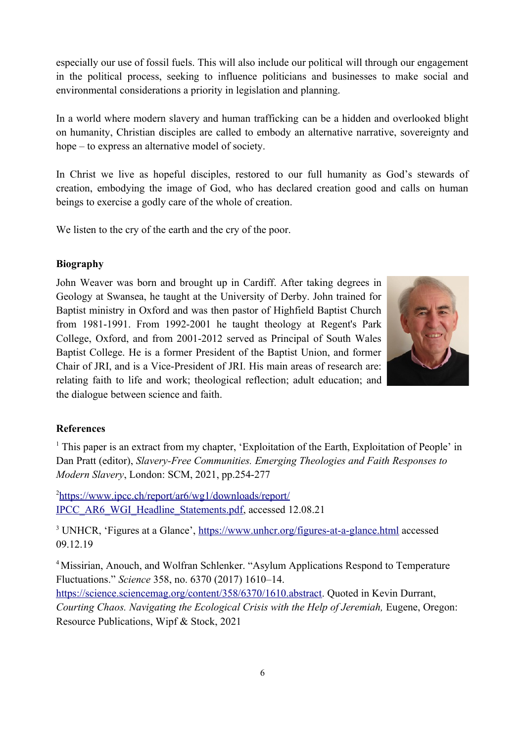especially our use of fossil fuels. This will also include our political will through our engagement in the political process, seeking to influence politicians and businesses to make social and environmental considerations a priority in legislation and planning.

In a world where modern slavery and human trafficking can be a hidden and overlooked blight on humanity, Christian disciples are called to embody an alternative narrative, sovereignty and hope – to express an alternative model of society.

In Christ we live as hopeful disciples, restored to our full humanity as God's stewards of creation, embodying the image of God, who has declared creation good and calls on human beings to exercise a godly care of the whole of creation.

We listen to the cry of the earth and the cry of the poor.

### **Biography**

John Weaver was born and brought up in Cardiff. After taking degrees in Geology at Swansea, he taught at the University of Derby. John trained for Baptist ministry in Oxford and was then pastor of Highfield Baptist Church from 1981-1991. From 1992-2001 he taught theology at Regent's Park College, Oxford, and from 2001-2012 served as Principal of South Wales Baptist College. He is a former President of the Baptist Union, and former Chair of JRI, and is a Vice-President of JRI. His main areas of research are: relating faith to life and work; theological reflection; adult education; and the dialogue between science and faith.



#### **References**

<sup>1</sup> This paper is an extract from my chapter, 'Exploitation of the Earth, Exploitation of People' in Dan Pratt (editor), *Slavery-Free Communities. Emerging Theologies and Faith Responses to Modern Slavery*, London: SCM, 2021, pp.254-277

2 [https://www.ipcc.ch/report/ar6/wg1/downloads/report/](https://www.ipcc.ch/report/ar6/wg1/downloads/report/IPCC_AR6_WGI_Headline_Statements.pdf) [IPCC\\_AR6\\_WGI\\_Headline\\_Statements.pdf,](https://www.ipcc.ch/report/ar6/wg1/downloads/report/IPCC_AR6_WGI_Headline_Statements.pdf) accessed 12.08.21

<sup>3</sup> UNHCR, 'Figures at a Glance', <https://www.unhcr.org/figures-at-a-glance.html> accessed 09.12.19

<sup>4</sup> Missirian, Anouch, and Wolfran Schlenker. "Asylum Applications Respond to Temperature Fluctuations." *Science* 358, no. 6370 (2017) 1610–14.

<https://science.sciencemag.org/content/358/6370/1610.abstract>. Quoted in Kevin Durrant, *Courting Chaos. Navigating the Ecological Crisis with the Help of Jeremiah, Eugene, Oregon:* Resource Publications, Wipf & Stock, 2021